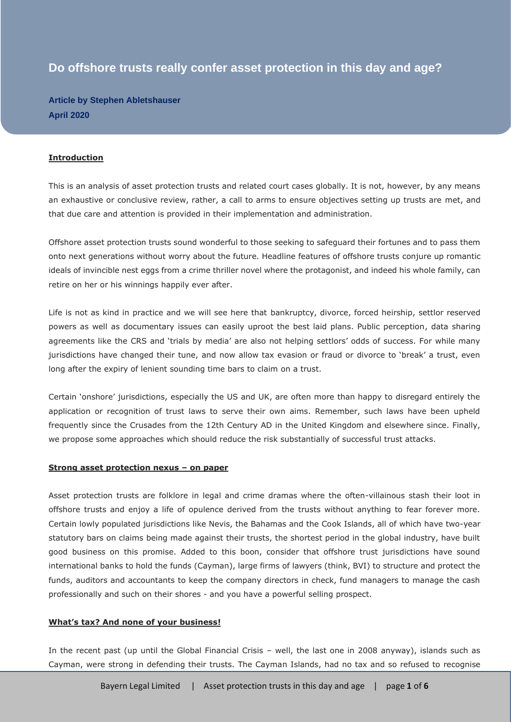# **Do offshore trusts really confer asset protection in this day and age?**

**Article by Stephen Abletshauser April 2020**

#### **Introduction**

This is an analysis of asset protection trusts and related court cases globally. It is not, however, by any means an exhaustive or conclusive review, rather, a call to arms to ensure objectives setting up trusts are met, and that due care and attention is provided in their implementation and administration.

Offshore asset protection trusts sound wonderful to those seeking to safeguard their fortunes and to pass them onto next generations without worry about the future. Headline features of offshore trusts conjure up romantic ideals of invincible nest eggs from a crime thriller novel where the protagonist, and indeed his whole family, can retire on her or his winnings happily ever after.

Life is not as kind in practice and we will see here that bankruptcy, divorce, forced heirship, settlor reserved powers as well as documentary issues can easily uproot the best laid plans. Public perception, data sharing agreements like the CRS and 'trials by media' are also not helping settlors' odds of success. For while many jurisdictions have changed their tune, and now allow tax evasion or fraud or divorce to 'break' a trust, even long after the expiry of lenient sounding time bars to claim on a trust.

Certain 'onshore' jurisdictions, especially the US and UK, are often more than happy to disregard entirely the application or recognition of trust laws to serve their own aims. Remember, such laws have been upheld frequently since the Crusades from the 12th Century AD in the United Kingdom and elsewhere since. Finally, we propose some approaches which should reduce the risk substantially of successful trust attacks.

#### **Strong asset protection nexus – on paper**

Asset protection trusts are folklore in legal and crime dramas where the often-villainous stash their loot in offshore trusts and enjoy a life of opulence derived from the trusts without anything to fear forever more. Certain lowly populated jurisdictions like Nevis, the Bahamas and the Cook Islands, all of which have two-year statutory bars on claims being made against their trusts, the shortest period in the global industry, have built good business on this promise. Added to this boon, consider that offshore trust jurisdictions have sound international banks to hold the funds (Cayman), large firms of lawyers (think, BVI) to structure and protect the funds, auditors and accountants to keep the company directors in check, fund managers to manage the cash professionally and such on their shores - and you have a powerful selling prospect.

#### **What's tax? And none of your business!**

In the recent past (up until the Global Financial Crisis – well, the last one in 2008 anyway), islands such as Cayman, were strong in defending their trusts. The Cayman Islands, had no tax and so refused to recognise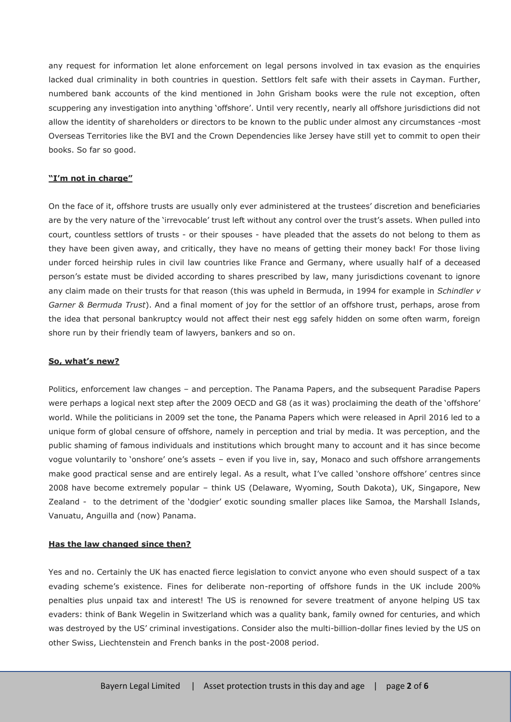any request for information let alone enforcement on legal persons involved in tax evasion as the enquiries lacked dual criminality in both countries in question. Settlors felt safe with their assets in Cayman. Further, numbered bank accounts of the kind mentioned in John Grisham books were the rule not exception, often scuppering any investigation into anything 'offshore'. Until very recently, nearly all offshore jurisdictions did not allow the identity of shareholders or directors to be known to the public under almost any circumstances -most Overseas Territories like the BVI and the Crown Dependencies like Jersey have still yet to commit to open their books. So far so good.

## **"I'm not in charge"**

On the face of it, offshore trusts are usually only ever administered at the trustees' discretion and beneficiaries are by the very nature of the 'irrevocable' trust left without any control over the trust's assets. When pulled into court, countless settlors of trusts - or their spouses - have pleaded that the assets do not belong to them as they have been given away, and critically, they have no means of getting their money back! For those living under forced heirship rules in civil law countries like France and Germany, where usually half of a deceased person's estate must be divided according to shares prescribed by law, many jurisdictions covenant to ignore any claim made on their trusts for that reason (this was upheld in Bermuda, in 1994 for example in *Schindler v Garner & Bermuda Trust*). And a final moment of joy for the settlor of an offshore trust, perhaps, arose from the idea that personal bankruptcy would not affect their nest egg safely hidden on some often warm, foreign shore run by their friendly team of lawyers, bankers and so on.

#### **So, what's new?**

Politics, enforcement law changes – and perception. The Panama Papers, and the subsequent Paradise Papers were perhaps a logical next step after the 2009 OECD and G8 (as it was) proclaiming the death of the 'offshore' world. While the politicians in 2009 set the tone, the Panama Papers which were released in April 2016 led to a unique form of global censure of offshore, namely in perception and trial by media. It was perception, and the public shaming of famous individuals and institutions which brought many to account and it has since become vogue voluntarily to 'onshore' one's assets – even if you live in, say, Monaco and such offshore arrangements make good practical sense and are entirely legal. As a result, what I've called 'onshore offshore' centres since 2008 have become extremely popular – think US (Delaware, Wyoming, South Dakota), UK, Singapore, New Zealand - to the detriment of the 'dodgier' exotic sounding smaller places like Samoa, the Marshall Islands, Vanuatu, Anguilla and (now) Panama.

#### **Has the law changed since then?**

Yes and no. Certainly the UK has enacted fierce legislation to convict anyone who even should suspect of a tax evading scheme's existence. Fines for deliberate non-reporting of offshore funds in the UK include 200% penalties plus unpaid tax and interest! The US is renowned for severe treatment of anyone helping US tax evaders: think of Bank Wegelin in Switzerland which was a quality bank, family owned for centuries, and which was destroyed by the US' criminal investigations. Consider also the multi-billion-dollar fines levied by the US on other Swiss, Liechtenstein and French banks in the post-2008 period.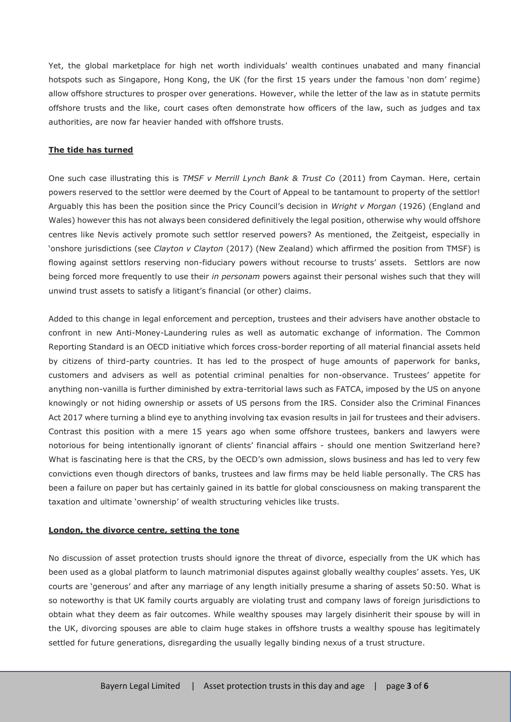Yet, the global marketplace for high net worth individuals' wealth continues unabated and many financial hotspots such as Singapore, Hong Kong, the UK (for the first 15 years under the famous 'non dom' regime) allow offshore structures to prosper over generations. However, while the letter of the law as in statute permits offshore trusts and the like, court cases often demonstrate how officers of the law, such as judges and tax authorities, are now far heavier handed with offshore trusts.

#### **The tide has turned**

One such case illustrating this is *TMSF v Merrill Lynch Bank & Trust Co* (2011) from Cayman. Here, certain powers reserved to the settlor were deemed by the Court of Appeal to be tantamount to property of the settlor! Arguably this has been the position since the Pricy Council's decision in *Wright v Morgan* (1926) (England and Wales) however this has not always been considered definitively the legal position, otherwise why would offshore centres like Nevis actively promote such settlor reserved powers? As mentioned, the Zeitgeist, especially in 'onshore jurisdictions (see *Clayton v Clayton* (2017) (New Zealand) which affirmed the position from TMSF) is flowing against settlors reserving non-fiduciary powers without recourse to trusts' assets. Settlors are now being forced more frequently to use their *in personam* powers against their personal wishes such that they will unwind trust assets to satisfy a litigant's financial (or other) claims.

Added to this change in legal enforcement and perception, trustees and their advisers have another obstacle to confront in new Anti-Money-Laundering rules as well as automatic exchange of information. The Common Reporting Standard is an OECD initiative which forces cross-border reporting of all material financial assets held by citizens of third-party countries. It has led to the prospect of huge amounts of paperwork for banks, customers and advisers as well as potential criminal penalties for non-observance. Trustees' appetite for anything non-vanilla is further diminished by extra-territorial laws such as FATCA, imposed by the US on anyone knowingly or not hiding ownership or assets of US persons from the IRS. Consider also the Criminal Finances Act 2017 where turning a blind eye to anything involving tax evasion results in jail for trustees and their advisers. Contrast this position with a mere 15 years ago when some offshore trustees, bankers and lawyers were notorious for being intentionally ignorant of clients' financial affairs - should one mention Switzerland here? What is fascinating here is that the CRS, by the OECD's own admission, slows business and has led to very few convictions even though directors of banks, trustees and law firms may be held liable personally. The CRS has been a failure on paper but has certainly gained in its battle for global consciousness on making transparent the taxation and ultimate 'ownership' of wealth structuring vehicles like trusts.

#### **London, the divorce centre, setting the tone**

No discussion of asset protection trusts should ignore the threat of divorce, especially from the UK which has been used as a global platform to launch matrimonial disputes against globally wealthy couples' assets. Yes, UK courts are 'generous' and after any marriage of any length initially presume a sharing of assets 50:50. What is so noteworthy is that UK family courts arguably are violating trust and company laws of foreign jurisdictions to obtain what they deem as fair outcomes. While wealthy spouses may largely disinherit their spouse by will in the UK, divorcing spouses are able to claim huge stakes in offshore trusts a wealthy spouse has legitimately settled for future generations, disregarding the usually legally binding nexus of a trust structure.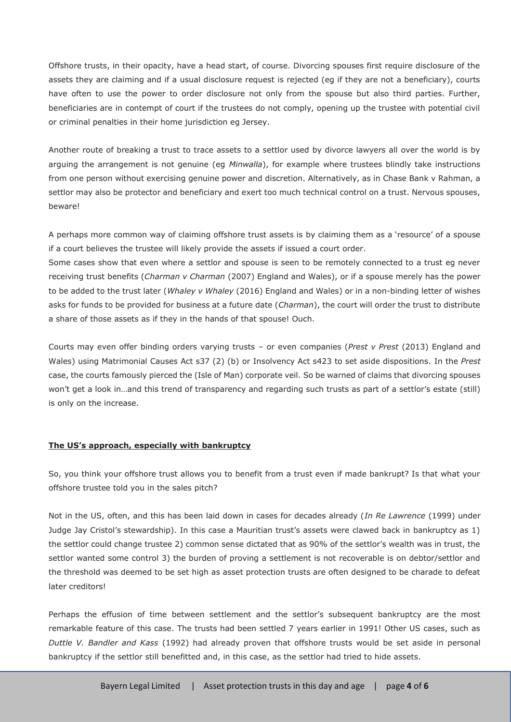Offshore trusts, in their opacity, have a head start, of course. Divorcing spouses first require disclosure of the assets they are claiming and if a usual disclosure request is rejected (eg if they are not a beneficiary), courts have often to use the power to order disclosure not only from the spouse but also third parties. Further, beneficiaries are in contempt of court if the trustees do not comply, opening up the trustee with potential civil or criminal penalties in their home jurisdiction eg Jersey.

Another route of breaking a trust to trace assets to a settlor used by divorce lawyers all over the world is by arguing the arrangement is not genuine (eg *Minwalla*), for example where trustees blindly take instructions from one person without exercising genuine power and discretion. Alternatively, as in Chase Bank v Rahman, a settlor may also be protector and beneficiary and exert too much technical control on a trust. Nervous spouses, beware!

A perhaps more common way of claiming offshore trust assets is by claiming them as a 'resource' of a spouse if a court believes the trustee will likely provide the assets if issued a court order.

Some cases show that even where a settlor and spouse is seen to be remotely connected to a trust eg never receiving trust benefits (*Charman v Charman* (2007) England and Wales), or if a spouse merely has the power to be added to the trust later (*Whaley v Whaley* (2016) England and Wales) or in a non-binding letter of wishes asks for funds to be provided for business at a future date (*Charman*), the court will order the trust to distribute a share of those assets as if they in the hands of that spouse! Ouch.

Courts may even offer binding orders varying trusts – or even companies (*Prest v Prest* (2013) England and Wales) using Matrimonial Causes Act s37 (2) (b) or Insolvency Act s423 to set aside dispositions. In the *Prest*  case, the courts famously pierced the (Isle of Man) corporate veil. So be warned of claims that divorcing spouses won't get a look in...and this trend of transparency and regarding such trusts as part of a settlor's estate (still) is only on the increase.

#### **The US's approach, especially with bankruptcy**

So, you think your offshore trust allows you to benefit from a trust even if made bankrupt? Is that what your offshore trustee told you in the sales pitch?

Not in the US, often, and this has been laid down in cases for decades already (*In Re Lawrence* (1999) under Judge Jay Cristol's stewardship). In this case a Mauritian trust's assets were clawed back in bankruptcy as 1) the settlor could change trustee 2) common sense dictated that as 90% of the settlor's wealth was in trust, the settlor wanted some control 3) the burden of proving a settlement is not recoverable is on debtor/settlor and the threshold was deemed to be set high as asset protection trusts are often designed to be charade to defeat later creditors!

Perhaps the effusion of time between settlement and the settlor's subsequent bankruptcy are the most remarkable feature of this case. The trusts had been settled 7 years earlier in 1991! Other US cases, such as *Duttle V. Bandler and Kass* (1992) had already proven that offshore trusts would be set aside in personal bankruptcy if the settlor still benefitted and, in this case, as the settlor had tried to hide assets.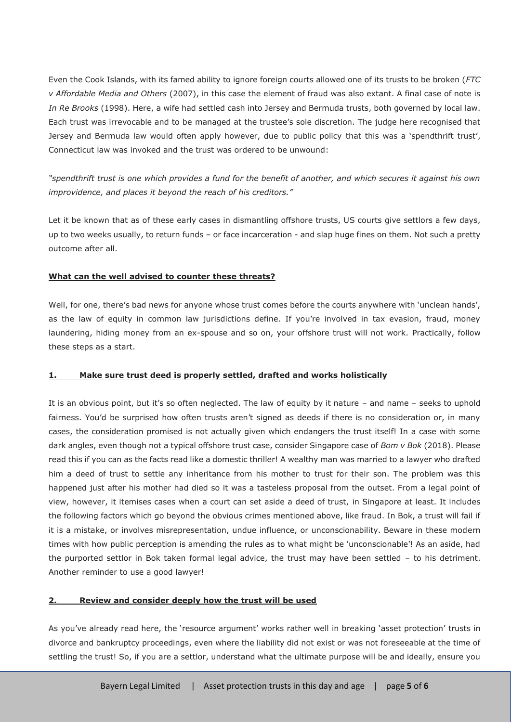Even the Cook Islands, with its famed ability to ignore foreign courts allowed one of its trusts to be broken (*FTC v Affordable Media and Others* (2007), in this case the element of fraud was also extant. A final case of note is *In Re Brooks* (1998). Here, a wife had settled cash into Jersey and Bermuda trusts, both governed by local law. Each trust was irrevocable and to be managed at the trustee's sole discretion. The judge here recognised that Jersey and Bermuda law would often apply however, due to public policy that this was a 'spendthrift trust', Connecticut law was invoked and the trust was ordered to be unwound:

*"spendthrift trust is one which provides a fund for the benefit of another, and which secures it against his own improvidence, and places it beyond the reach of his creditors."*

Let it be known that as of these early cases in dismantling offshore trusts, US courts give settlors a few days, up to two weeks usually, to return funds – or face incarceration - and slap huge fines on them. Not such a pretty outcome after all.

## **What can the well advised to counter these threats?**

Well, for one, there's bad news for anyone whose trust comes before the courts anywhere with 'unclean hands', as the law of equity in common law jurisdictions define. If you're involved in tax evasion, fraud, money laundering, hiding money from an ex-spouse and so on, your offshore trust will not work. Practically, follow these steps as a start.

## **1. Make sure trust deed is properly settled, drafted and works holistically**

It is an obvious point, but it's so often neglected. The law of equity by it nature – and name – seeks to uphold fairness. You'd be surprised how often trusts aren't signed as deeds if there is no consideration or, in many cases, the consideration promised is not actually given which endangers the trust itself! In a case with some dark angles, even though not a typical offshore trust case, consider Singapore case of *Bom v Bok* (2018). Please read this if you can as the facts read like a domestic thriller! A wealthy man was married to a lawyer who drafted him a deed of trust to settle any inheritance from his mother to trust for their son. The problem was this happened just after his mother had died so it was a tasteless proposal from the outset. From a legal point of view, however, it itemises cases when a court can set aside a deed of trust, in Singapore at least. It includes the following factors which go beyond the obvious crimes mentioned above, like fraud. In Bok, a trust will fail if it is a mistake, or involves misrepresentation, undue influence, or unconscionability. Beware in these modern times with how public perception is amending the rules as to what might be 'unconscionable'! As an aside, had the purported settlor in Bok taken formal legal advice, the trust may have been settled – to his detriment. Another reminder to use a good lawyer!

#### **2. Review and consider deeply how the trust will be used**

As you've already read here, the 'resource argument' works rather well in breaking 'asset protection' trusts in divorce and bankruptcy proceedings, even where the liability did not exist or was not foreseeable at the time of settling the trust! So, if you are a settlor, understand what the ultimate purpose will be and ideally, ensure you